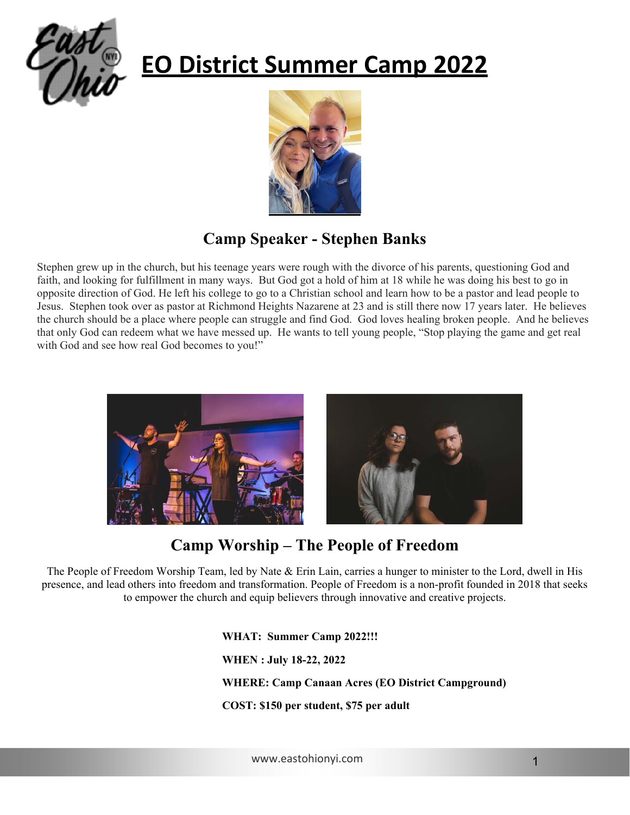

## **EO District Summer Camp 2022**



## **Camp Speaker - Stephen Banks**

Stephen grew up in the church, but his teenage years were rough with the divorce of his parents, questioning God and faith, and looking for fulfillment in many ways. But God got a hold of him at 18 while he was doing his best to go in opposite direction of God. He left his college to go to a Christian school and learn how to be a pastor and lead people to Jesus. Stephen took over as pastor at Richmond Heights Nazarene at 23 and is still there now 17 years later. He believes the church should be a place where people can struggle and find God. God loves healing broken people. And he believes that only God can redeem what we have messed up. He wants to tell young people, "Stop playing the game and get real with God and see how real God becomes to you!"



## **Camp Worship – The People of Freedom**

The People of Freedom Worship Team, led by Nate & Erin Lain, carries a hunger to minister to the Lord, dwell in His presence, and lead others into freedom and transformation. People of Freedom is a non-profit founded in 2018 that seeks to empower the church and equip believers through innovative and creative projects.

> **WHAT: Summer Camp 2022!!! WHEN : July 18-22, 2022 WHERE: Camp Canaan Acres (EO District Campground) COST: \$150 per student, \$75 per adult**

www.eastohionyi.com 1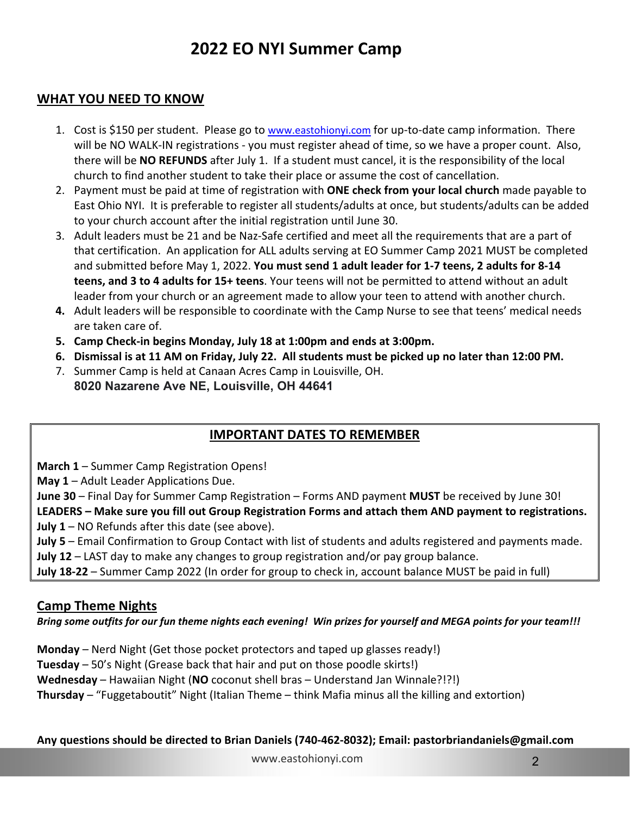## **2022 EO NYI Summer Camp**

#### **WHAT YOU NEED TO KNOW**

- 1. Cost is \$150 per student. Please go to www.eastohionyi.com for up-to-date camp information. There will be NO WALK-IN registrations - you must register ahead of time, so we have a proper count. Also, there will be **NO REFUNDS** after July 1. If a student must cancel, it is the responsibility of the local church to find another student to take their place or assume the cost of cancellation.
- 2. Payment must be paid at time of registration with **ONE check from your local church** made payable to East Ohio NYI. It is preferable to register all students/adults at once, but students/adults can be added to your church account after the initial registration until June 30.
- 3. Adult leaders must be 21 and be Naz‐Safe certified and meet all the requirements that are a part of that certification. An application for ALL adults serving at EO Summer Camp 2021 MUST be completed and submitted before May 1, 2022. **You must send 1 adult leader for 1‐7 teens, 2 adults for 8‐14 teens, and 3 to 4 adults for 15+ teens**. Your teens will not be permitted to attend without an adult leader from your church or an agreement made to allow your teen to attend with another church.
- **4.** Adult leaders will be responsible to coordinate with the Camp Nurse to see that teens' medical needs are taken care of.
- **5. Camp Check‐in begins Monday, July 18 at 1:00pm and ends at 3:00pm.**
- **6. Dismissal is at 11 AM on Friday, July 22. All students must be picked up no later than 12:00 PM.**
- 7. Summer Camp is held at Canaan Acres Camp in Louisville, OH. **8020 Nazarene Ave NE, Louisville, OH 44641**

#### **IMPORTANT DATES TO REMEMBER**

**March 1** – Summer Camp Registration Opens!

**May 1** – Adult Leader Applications Due.

**June 30** – Final Day for Summer Camp Registration – Forms AND payment **MUST** be received by June 30! **LEADERS – Make sure you fill out Group Registration Forms and attach them AND payment to registrations. July 1** – NO Refunds after this date (see above).

**July 5** – Email Confirmation to Group Contact with list of students and adults registered and payments made. **July 12** – LAST day to make any changes to group registration and/or pay group balance.

**July 18‐22** – Summer Camp 2022 (In order for group to check in, account balance MUST be paid in full)

#### **Camp Theme Nights**

*Bring some outfits for our fun theme nights each evening! Win prizes for yourself and MEGA points for your team!!!* 

**Monday** – Nerd Night (Get those pocket protectors and taped up glasses ready!)

**Tuesday** – 50's Night (Grease back that hair and put on those poodle skirts!)

**Wednesday** – Hawaiian Night (**NO** coconut shell bras – Understand Jan Winnale?!?!)

**Thursday** – "Fuggetaboutit" Night (Italian Theme – think Mafia minus all the killing and extortion)

**Any questions should be directed to Brian Daniels (740‐462‐8032); Email: pastorbriandaniels@gmail.com**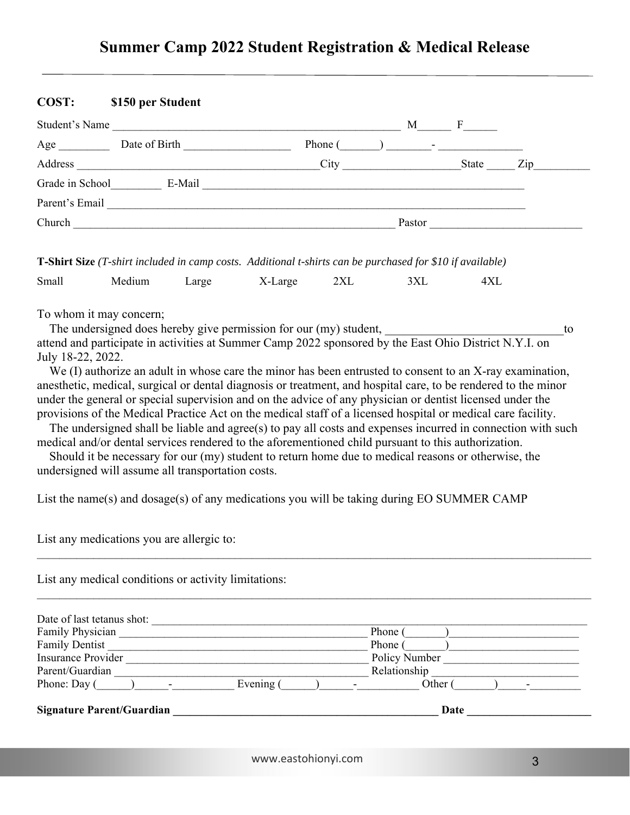## **Summer Camp 2022 Student Registration & Medical Release**

#### **COST: \$150 per Student**

| Student's Name  |               | M       | F                                                                                                                                                                                                                                                                         |                                   |
|-----------------|---------------|---------|---------------------------------------------------------------------------------------------------------------------------------------------------------------------------------------------------------------------------------------------------------------------------|-----------------------------------|
| Age             | Date of Birth | Phone ( | <b>Contract Contract Contract</b><br><u>and the state of the state of the state of the state of the state of the state of the state of the state of the state of the state of the state of the state of the state of the state of the state of the state of the state</u> |                                   |
| Address         |               | City    | State                                                                                                                                                                                                                                                                     | $\mathop{\mathrm {Zip}}\nolimits$ |
| Grade in School | E-Mail        |         |                                                                                                                                                                                                                                                                           |                                   |
| Parent's Email  |               |         |                                                                                                                                                                                                                                                                           |                                   |
| Church          |               | Pastor  |                                                                                                                                                                                                                                                                           |                                   |

**T-Shirt Size** *(T-shirt included in camp costs. Additional t-shirts can be purchased for \$10 if available)* 

| Small | Medium | Large | X-Large | 2XL | 3XL | 4XL |
|-------|--------|-------|---------|-----|-----|-----|
|       |        |       |         |     |     |     |

To whom it may concern;

The undersigned does hereby give permission for our  $(my)$  student,  $\qquad \qquad \text{to}$ attend and participate in activities at Summer Camp 2022 sponsored by the East Ohio District N.Y.I. on July 18-22, 2022.

We (I) authorize an adult in whose care the minor has been entrusted to consent to an X-ray examination, anesthetic, medical, surgical or dental diagnosis or treatment, and hospital care, to be rendered to the minor under the general or special supervision and on the advice of any physician or dentist licensed under the provisions of the Medical Practice Act on the medical staff of a licensed hospital or medical care facility.

 The undersigned shall be liable and agree(s) to pay all costs and expenses incurred in connection with such medical and/or dental services rendered to the aforementioned child pursuant to this authorization.

 Should it be necessary for our (my) student to return home due to medical reasons or otherwise, the undersigned will assume all transportation costs.

List the name(s) and dosage(s) of any medications you will be taking during EO SUMMER CAMP

List any medications you are allergic to:

List any medical conditions or activity limitations:

| Family Physician          | Phone                             |
|---------------------------|-----------------------------------|
| <b>Family Dentist</b>     | Phone (                           |
| <b>Insurance Provider</b> | Policy Number                     |
| Parent/Guardian           | Relationship                      |
| Phone: Day (<br>Evening ( | Other<br>$\overline{\phantom{0}}$ |

 $\mathcal{L}_\mathcal{L} = \mathcal{L}_\mathcal{L} = \mathcal{L}_\mathcal{L} = \mathcal{L}_\mathcal{L} = \mathcal{L}_\mathcal{L} = \mathcal{L}_\mathcal{L} = \mathcal{L}_\mathcal{L} = \mathcal{L}_\mathcal{L} = \mathcal{L}_\mathcal{L} = \mathcal{L}_\mathcal{L} = \mathcal{L}_\mathcal{L} = \mathcal{L}_\mathcal{L} = \mathcal{L}_\mathcal{L} = \mathcal{L}_\mathcal{L} = \mathcal{L}_\mathcal{L} = \mathcal{L}_\mathcal{L} = \mathcal{L}_\mathcal{L}$ 

 $\mathcal{L}_\mathcal{L} = \mathcal{L}_\mathcal{L} = \mathcal{L}_\mathcal{L} = \mathcal{L}_\mathcal{L} = \mathcal{L}_\mathcal{L} = \mathcal{L}_\mathcal{L} = \mathcal{L}_\mathcal{L} = \mathcal{L}_\mathcal{L} = \mathcal{L}_\mathcal{L} = \mathcal{L}_\mathcal{L} = \mathcal{L}_\mathcal{L} = \mathcal{L}_\mathcal{L} = \mathcal{L}_\mathcal{L} = \mathcal{L}_\mathcal{L} = \mathcal{L}_\mathcal{L} = \mathcal{L}_\mathcal{L} = \mathcal{L}_\mathcal{L}$ 

**Signature Parent/Guardian \_\_\_\_\_\_\_\_\_\_\_\_\_\_\_\_\_\_\_\_\_\_\_\_\_\_\_\_\_\_\_\_\_\_\_\_\_\_\_\_\_\_\_\_\_\_\_ Date \_\_\_\_\_\_\_\_\_\_\_\_\_\_\_\_\_\_\_\_\_\_**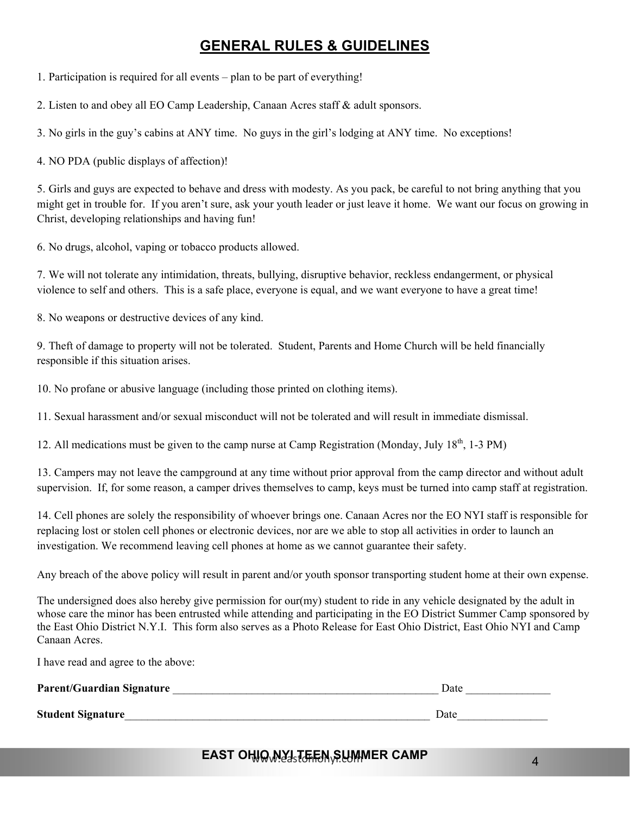## **GENERAL RULES & GUIDELINES**

1. Participation is required for all events – plan to be part of everything!

2. Listen to and obey all EO Camp Leadership, Canaan Acres staff & adult sponsors.

3. No girls in the guy's cabins at ANY time. No guys in the girl's lodging at ANY time. No exceptions!

4. NO PDA (public displays of affection)!

5. Girls and guys are expected to behave and dress with modesty. As you pack, be careful to not bring anything that you might get in trouble for. If you aren't sure, ask your youth leader or just leave it home. We want our focus on growing in Christ, developing relationships and having fun!

6. No drugs, alcohol, vaping or tobacco products allowed.

7. We will not tolerate any intimidation, threats, bullying, disruptive behavior, reckless endangerment, or physical violence to self and others. This is a safe place, everyone is equal, and we want everyone to have a great time!

8. No weapons or destructive devices of any kind.

9. Theft of damage to property will not be tolerated. Student, Parents and Home Church will be held financially responsible if this situation arises.

10. No profane or abusive language (including those printed on clothing items).

11. Sexual harassment and/or sexual misconduct will not be tolerated and will result in immediate dismissal.

12. All medications must be given to the camp nurse at Camp Registration (Monday, July 18<sup>th</sup>, 1-3 PM)

13. Campers may not leave the campground at any time without prior approval from the camp director and without adult supervision. If, for some reason, a camper drives themselves to camp, keys must be turned into camp staff at registration.

14. Cell phones are solely the responsibility of whoever brings one. Canaan Acres nor the EO NYI staff is responsible for replacing lost or stolen cell phones or electronic devices, nor are we able to stop all activities in order to launch an investigation. We recommend leaving cell phones at home as we cannot guarantee their safety.

Any breach of the above policy will result in parent and/or youth sponsor transporting student home at their own expense.

The undersigned does also hereby give permission for our(my) student to ride in any vehicle designated by the adult in whose care the minor has been entrusted while attending and participating in the EO District Summer Camp sponsored by the East Ohio District N.Y.I. This form also serves as a Photo Release for East Ohio District, East Ohio NYI and Camp Canaan Acres.

I have read and agree to the above:

| <b>Parent/Guardian Signature</b> | Date |
|----------------------------------|------|
|                                  |      |
| <b>Student Signature</b>         | Date |

## **EAST OHIO NYI TEEN SUMMER CAMP**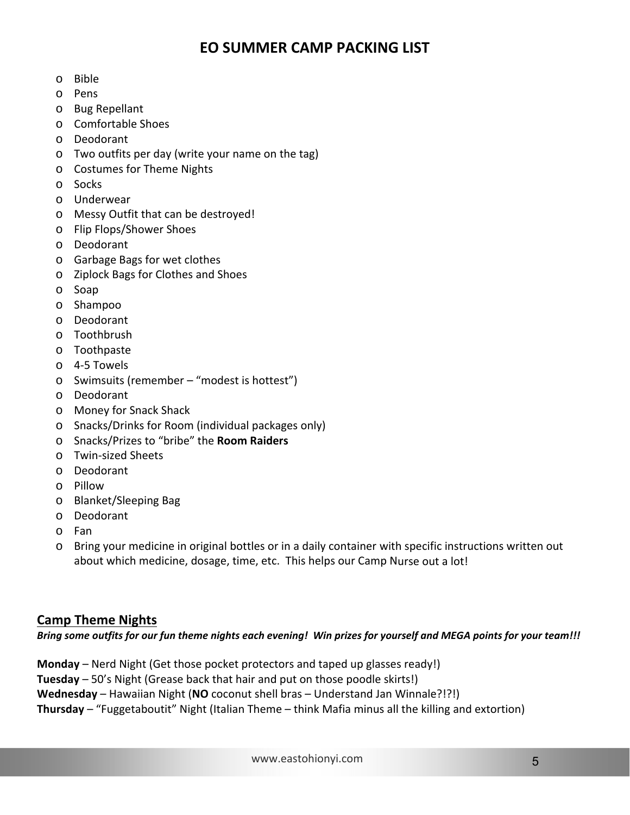### **EO SUMMER CAMP PACKING LIST**

- o Bible
- o Pens
- o Bug Repellant
- o Comfortable Shoes
- o Deodorant
- o Two outfits per day (write your name on the tag)
- o Costumes for Theme Nights
- o Socks
- o Underwear
- o Messy Outfit that can be destroyed!
- o Flip Flops/Shower Shoes
- o Deodorant
- o Garbage Bags for wet clothes
- o Ziplock Bags for Clothes and Shoes
- o Soap
- o Shampoo
- o Deodorant
- o Toothbrush
- o Toothpaste
- o 4‐5 Towels
- o Swimsuits (remember "modest is hottest")
- o Deodorant
- o Money for Snack Shack
- o Snacks/Drinks for Room (individual packages only)
- o Snacks/Prizes to "bribe" the **Room Raiders**
- o Twin‐sized Sheets
- o Deodorant
- o Pillow
- o Blanket/Sleeping Bag
- o Deodorant
- o Fan
- o Bring your medicine in original bottles or in a daily container with specific instructions written out about which medicine, dosage, time, etc. This helps our Camp Nurse out a lot!

#### **Camp Theme Nights**

*Bring some outfits for our fun theme nights each evening! Win prizes for yourself and MEGA points for your team!!!* 

**Monday** – Nerd Night (Get those pocket protectors and taped up glasses ready!)

**Tuesday** – 50's Night (Grease back that hair and put on those poodle skirts!)

**Wednesday** – Hawaiian Night (**NO** coconut shell bras – Understand Jan Winnale?!?!)

**Thursday** – "Fuggetaboutit" Night (Italian Theme – think Mafia minus all the killing and extortion)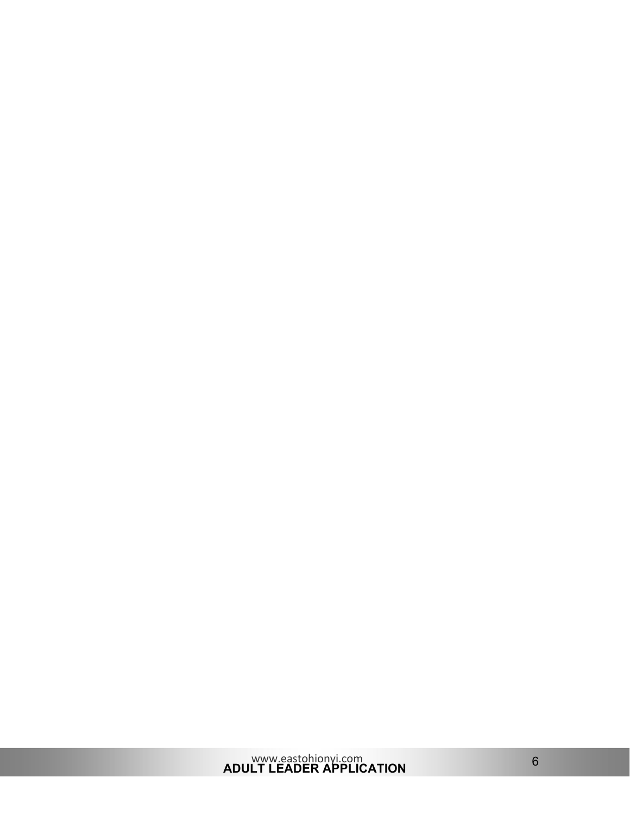## www.eastohionyi.com 6<br> **ADULT LEADER APPLICATION** 6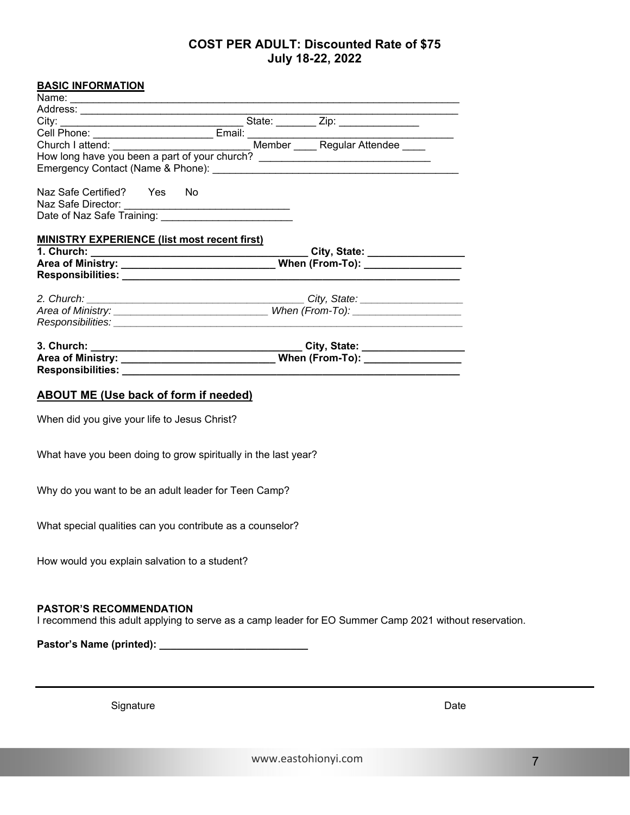#### **COST PER ADULT: Discounted Rate of \$75 July 18-22, 2022**

#### **BASIC INFORMATION**

|                                                                                                      |  | Member Regular Attendee          |  |
|------------------------------------------------------------------------------------------------------|--|----------------------------------|--|
|                                                                                                      |  |                                  |  |
|                                                                                                      |  |                                  |  |
| Naz Safe Certified? Yes No                                                                           |  |                                  |  |
|                                                                                                      |  |                                  |  |
| MINISTRY EXPERIENCE (list most recent first)                                                         |  |                                  |  |
| 1. Church: $\frac{1}{2}$                                                                             |  | City, State: ___________________ |  |
|                                                                                                      |  |                                  |  |
|                                                                                                      |  |                                  |  |
|                                                                                                      |  |                                  |  |
| Area of Ministry: __________________________________When (From-To): ________________________________ |  |                                  |  |
|                                                                                                      |  |                                  |  |
|                                                                                                      |  |                                  |  |
| Area of Ministry: __________________________________When (From-To): _____________                    |  |                                  |  |
| <b>Responsibilities:</b>                                                                             |  |                                  |  |

#### **ABOUT ME (Use back of form if needed)**

When did you give your life to Jesus Christ?

What have you been doing to grow spiritually in the last year?

Why do you want to be an adult leader for Teen Camp?

What special qualities can you contribute as a counselor?

How would you explain salvation to a student?

#### **PASTOR'S RECOMMENDATION**

I recommend this adult applying to serve as a camp leader for EO Summer Camp 2021 without reservation.

**Pastor's Name (printed): \_\_\_\_\_\_\_\_\_\_\_\_\_\_\_\_\_\_\_\_\_\_\_\_\_\_** 

Signature Date Date Communications and the Date Date Date Date

www.eastohionyi.com 7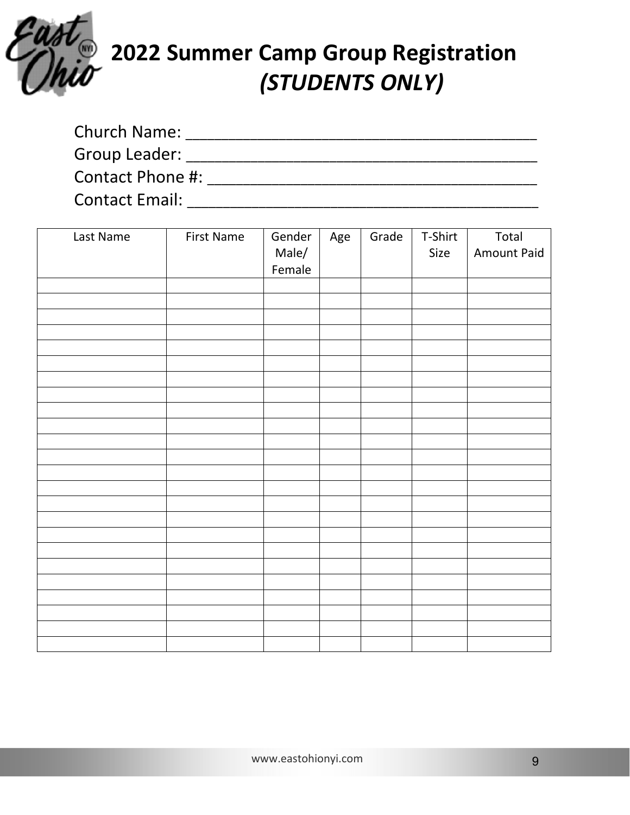

# **2017**<br>
2022 Summer Camp Group Registration<br> *Chio*<br> *ISTUDENTS ONLY (STUDENTS ONLY)*

| <b>Church Name:</b>   |
|-----------------------|
| Group Leader:         |
| Contact Phone #:      |
| <b>Contact Email:</b> |

| Last Name | <b>First Name</b> | Gender | Age | Grade | T-Shirt | Total              |
|-----------|-------------------|--------|-----|-------|---------|--------------------|
|           |                   | Male/  |     |       | Size    | <b>Amount Paid</b> |
|           |                   | Female |     |       |         |                    |
|           |                   |        |     |       |         |                    |
|           |                   |        |     |       |         |                    |
|           |                   |        |     |       |         |                    |
|           |                   |        |     |       |         |                    |
|           |                   |        |     |       |         |                    |
|           |                   |        |     |       |         |                    |
|           |                   |        |     |       |         |                    |
|           |                   |        |     |       |         |                    |
|           |                   |        |     |       |         |                    |
|           |                   |        |     |       |         |                    |
|           |                   |        |     |       |         |                    |
|           |                   |        |     |       |         |                    |
|           |                   |        |     |       |         |                    |
|           |                   |        |     |       |         |                    |
|           |                   |        |     |       |         |                    |
|           |                   |        |     |       |         |                    |
|           |                   |        |     |       |         |                    |
|           |                   |        |     |       |         |                    |
|           |                   |        |     |       |         |                    |
|           |                   |        |     |       |         |                    |
|           |                   |        |     |       |         |                    |
|           |                   |        |     |       |         |                    |
|           |                   |        |     |       |         |                    |
|           |                   |        |     |       |         |                    |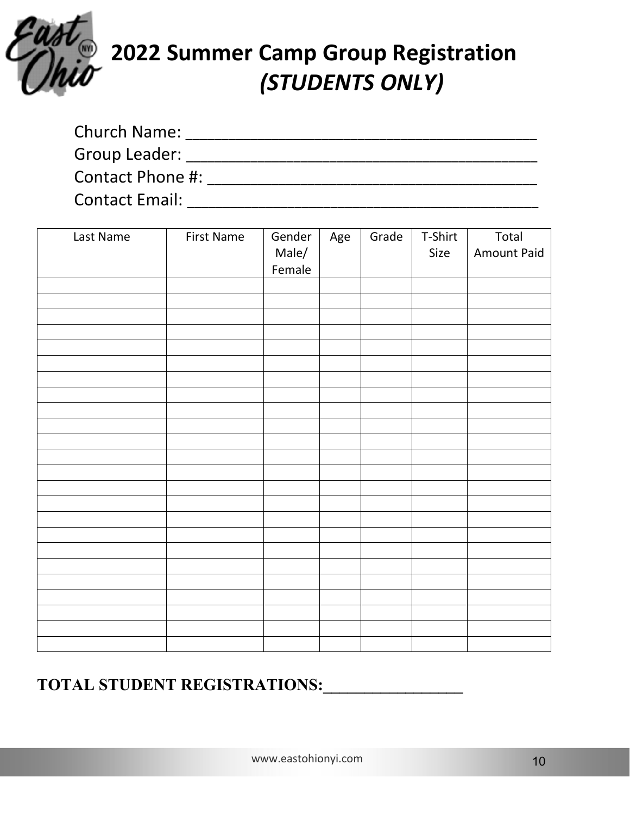

# **2022 Summer Camp Group Registration** *(STUDENTS ONLY)*

| <b>Church Name:</b>   |
|-----------------------|
| Group Leader:         |
| Contact Phone #:      |
| <b>Contact Email:</b> |

| Last Name | <b>First Name</b> | Gender<br>Male/<br>Female | Age | Grade | T-Shirt<br>Size | Total<br><b>Amount Paid</b> |
|-----------|-------------------|---------------------------|-----|-------|-----------------|-----------------------------|
|           |                   |                           |     |       |                 |                             |
|           |                   |                           |     |       |                 |                             |
|           |                   |                           |     |       |                 |                             |
|           |                   |                           |     |       |                 |                             |
|           |                   |                           |     |       |                 |                             |
|           |                   |                           |     |       |                 |                             |
|           |                   |                           |     |       |                 |                             |
|           |                   |                           |     |       |                 |                             |
|           |                   |                           |     |       |                 |                             |
|           |                   |                           |     |       |                 |                             |
|           |                   |                           |     |       |                 |                             |
|           |                   |                           |     |       |                 |                             |
|           |                   |                           |     |       |                 |                             |
|           |                   |                           |     |       |                 |                             |
|           |                   |                           |     |       |                 |                             |
|           |                   |                           |     |       |                 |                             |
|           |                   |                           |     |       |                 |                             |
|           |                   |                           |     |       |                 |                             |
|           |                   |                           |     |       |                 |                             |
|           |                   |                           |     |       |                 |                             |
|           |                   |                           |     |       |                 |                             |
|           |                   |                           |     |       |                 |                             |
|           |                   |                           |     |       |                 |                             |

## **TOTAL STUDENT REGISTRATIONS:\_\_\_\_\_\_\_\_\_\_\_\_\_\_\_\_\_**